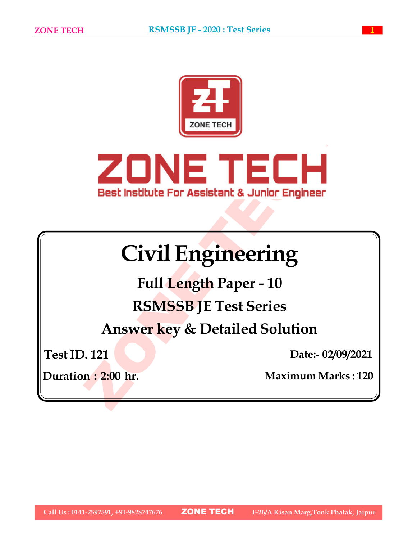



# Civil Engineering

Full Length Paper - 10 RSMSSB JE Test Series

Answer key & Detailed Solution

Test ID. 121

Date:- 02/09/2021

Duration : 2:00 hr. Maximum Marks : 120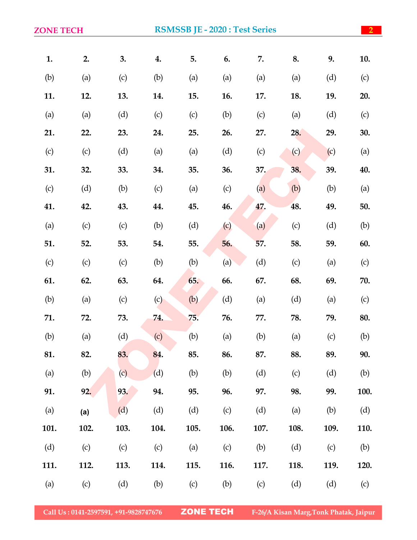| <b>ZONE TECH</b> |      |      |      |      |            | <b>RSMSSB JE - 2020 : Test Series</b> |      |      | $\overline{2}$ |
|------------------|------|------|------|------|------------|---------------------------------------|------|------|----------------|
| 1.               | 2.   | 3.   | 4.   | 5.   | 6.         | 7.                                    | 8.   | 9.   | 10.            |
| (b)              | (a)  | (c)  | (b)  | (a)  | (a)        | (a)                                   | (a)  | (d)  | (c)            |
| 11.              | 12.  | 13.  | 14.  | 15.  | <b>16.</b> | 17.                                   | 18.  | 19.  | 20.            |
| (a)              | (a)  | (d)  | (c)  | (c)  | (b)        | (c)                                   | (a)  | (d)  | (c)            |
| 21.              | 22.  | 23.  | 24.  | 25.  | 26.        | 27.                                   | 28.  | 29.  | 30.            |
| (c)              | (c)  | (d)  | (a)  | (a)  | (d)        | (c)                                   | (c)  | (c)  | (a)            |
| 31.              | 32.  | 33.  | 34.  | 35.  | 36.        | 37.                                   | 38.  | 39.  | 40.            |
| (c)              | (d)  | (b)  | (c)  | (a)  | (c)        | (a)                                   | (b)  | (b)  | (a)            |
| 41.              | 42.  | 43.  | 44.  | 45.  | 46.        | 47.                                   | 48.  | 49.  | 50.            |
| (a)              | (c)  | (c)  | (b)  | (d)  | (c)        | (a)                                   | (c)  | (d)  | (b)            |
| 51.              | 52.  | 53.  | 54.  | 55.  | 56.        | 57.                                   | 58.  | 59.  | 60.            |
| (c)              | (c)  | (c)  | (b)  | (b)  | (a)        | (d)                                   | (c)  | (a)  | (c)            |
| 61.              | 62.  | 63.  | 64.  | 65.  | 66.        | 67.                                   | 68.  | 69.  | 70.            |
| (b)              | (a)  | (c)  | (c)  | (b)  | (d)        | (a)                                   | (d)  | (a)  | (c)            |
| 71.              | 72.  | 73.  | 74.  | 75.  | 76.        | 77.                                   | 78.  | 79.  | 80.            |
| (b)              | (a)  | (d)  | (c)  | (b)  | (a)        | (b)                                   | (a)  | (c)  | (b)            |
| 81.              | 82.  | 83.  | 84.  | 85.  | 86.        | 87.                                   | 88.  | 89.  | 90.            |
| (a)              | (b)  | (c)  | (d)  | (b)  | (b)        | (d)                                   | (c)  | (d)  | (b)            |
| 91.              | 92.  | 93.  | 94.  | 95.  | 96.        | 97.                                   | 98.  | 99.  | 100.           |
| (a)              | (a)  | (d)  | (d)  | (d)  | (c)        | (d)                                   | (a)  | (b)  | (d)            |
| 101.             | 102. | 103. | 104. | 105. | 106.       | 107.                                  | 108. | 109. | 110.           |
| (d)              | (c)  | (c)  | (c)  | (a)  | (c)        | (b)                                   | (d)  | (c)  | (b)            |
| 111.             | 112. | 113. | 114. | 115. | 116.       | 117.                                  | 118. | 119. | 120.           |
| (a)              | (c)  | (d)  | (b)  | (c)  | (b)        | (c)                                   | (d)  | (d)  | (c)            |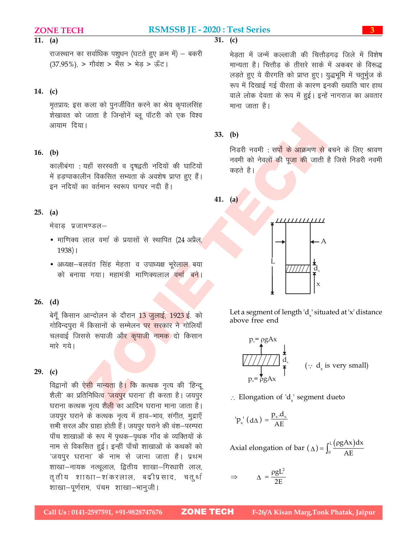$\overline{31}$ . (c)

### 11. (a)

राजस्थान का सर्वाधिक पशुधन (घटते हुए क्रम में) – बकरी (37.95%), > गौवंश > भैंस > भेड़ > ऊँट।

### 14. (c)

मृतप्राय: इस कला को पुनर्जीवित करने का श्रेय कृपालसिंह शेखावत को जाता है जिन्होनें ब्लू पॉटरी को एक विश्व आयाम दिया।

### 16. (b)

कालीबंगा : यहाँ सरस्वती व दृषद्वती नदियों की घाटियों में हडप्पाकालीन विकसित सभ्यता के अवशेष प्राप्त हुए हैं। इन नदियों का वर्तमान स्वरूप घग्घर नदी है।

### 25. (a)

मेवाड प्रजामण्डल–

- माणिक्य लाल वर्मा के प्रयासों से स्थापित (24 अप्रैल,  $1938$ |
- अध्यक्ष—बलवंत सिंह मेहता व उपाध्यक्ष भूरेला<mark>ल</mark> बया को बनाया गया। महामंत्री माणिक्यलाल <mark>वर्मा बने</mark>।

### 26. (d)

बेगूँ किसान आन्दोलन के दौरान 13 जुलाई, 1923 ई. को गोविन्दपूरा में किसानों के सम्मेलन पर सरकार ने गोलियाँ चलवाई जिससे रूपाजी औ<mark>र कृपाजी नामक</mark> दो किसान मारे गये।

### 29. (c)

विद्वानों की ऐ<mark>सी मान्यता है। कि</mark> कत्थक नृत्य की 'हिन्दू शैली' का प्रतिनिधित्व 'जयपुर घराना' ही करता है। जयपुर घराना कत्थक नृत्य शै<mark>ली</mark> का आदिम घराना माना जाता है। जयपुर घराने के कत्थक नृत्य में हाव-भाव, संगीत, मुद्राएँ सभी सरल और ग्राहा होती हैं। जयपुर घराने की वंश–परम्परा पाँच शाखाओं के रूप में पृथक-पृथक गाँव के व्यक्तियों के नाम से विकसित हुई। इन्हीं पाँचों शाखाओं के कथकों को 'जयपुर घराना' के नाम से जाना जाता है। प्रथम 'शाखा-नायक नत्थूलाल, द्वितीय शाखा-गिरधारी लाल, तृतीय शाखा-शंकरलाल, बद्रीप्रसाद, चतुर्थ शाखा-पूर्णराम, पंचम शाखा-भानुजी।

मेडता में जन्में कल्लाजी की चित्तौडगढ जिले में विशेष मान्यता है। चित्तौड के तीसरे साके में अकबर के विरूद्ध लड़ते हुए ये वीरगति को प्राप्त हुए। युद्धभूमि में चतुर्भुज के रूप में दिखाई गई वीरता के कारण इनकी ख्याति चार हाथ वाले लोक देवता के रूप में हुई। इन्हें नागराज का अवतार माना जाता है। Beries<br>  $\frac{3}{4}$  or  $\frac{3}{4}$  or  $\frac{3}{4}$  or  $\frac{3}{4}$ <br>  $\frac{3}{4}$  l fardig ab dired ab farding big direct big ab direct big<br>  $\frac{1}{5}$ l fardig ab direct big ab apple of  $\frac{1}{5}$ <br>
farget ab about  $\frac{1}{5}$  gaing about

### 33. (b)

निडरी नवमी : सर्पो के आक्रमण से बचने के लिए श्रावण नवमी को नेव<u>लों की पूजा की</u> जाती है जिसे निडरी नवमी कहते है।

41. (a)



Let a segment of length  $d_x$ ' situated at 'x' distance above free end

d<sup>x</sup> ( d<sup>x</sup> is very small)

 $\therefore$  Elongation of 'd<sub>x</sub>' segment dueto

$$
p_x^{\dagger} (d\Delta) = \frac{p_x \cdot d_x}{AE}
$$

Axial elongation of bar  $(\Delta) = \int_0^L \frac{(\rho g A x) dx}{\Delta E}$  $\boldsymbol{0}$  $(gAx)dx$ AE  $\int_0^L \frac{(\rho)}{\rho}$ 

$$
\Rightarrow \qquad \Delta = \frac{\rho g L^2}{2E}
$$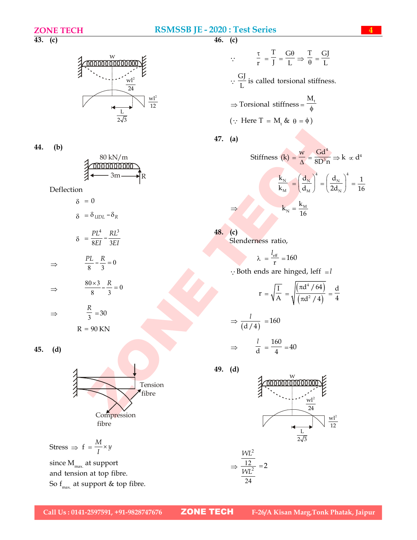$\overline{46.}$  (c)

 $\overline{43.}$  (c)



44. (b)

| 80 kN/m         |  |
|-----------------|--|
|                 |  |
| 3m              |  |
| $\rightarrow$ R |  |

Deflection

$$
\delta = 0
$$

$$
\delta = \delta_{UDL} - \delta_R
$$

$$
\delta = \frac{PL^4}{8EI} - \frac{RL^3}{3EI}
$$

$$
\Rightarrow \qquad \frac{PL}{8} - \frac{R}{3} = 0
$$

$$
\Rightarrow \qquad \frac{80 \times 3}{8} - \frac{R}{3} = 0
$$

$$
\Rightarrow \qquad \frac{R}{3} = 30
$$
  
R = 90 KN

45. (d)



Stress  $\Rightarrow$   $f = \frac{M}{I} \times y$  $\times$ 

since  $\rm M_{max}$  at support and tension at top fibre. So  $f_{\text{max}}$  at support & top fibre.

RSMSSB JE - 2020 : Test Series  
\n46. (c)  
\n36. (d)  
\n37. (a)  
\n38. kN/m  
\n49. (d)  
\n40. (a)  
\n41. (a)  
\n42. (b)  
\n5. (a)  
\n5. (b) 
$$
\frac{w}{\Delta} = \frac{Gd^4}{16} = 40
$$
  
\n $\frac{80 \text{ kN/m}}{3m}$   
\n $\frac{1}{2\sqrt{3}}$   
\n $\frac{1}{2\sqrt{3}}$   
\n $\frac{1}{2\sqrt{3}}$   
\n $\frac{1}{2\sqrt{3}}$   
\n $\frac{1}{2\sqrt{3}}$   
\n $\frac{1}{2\sqrt{3}}$   
\n $\frac{1}{2\sqrt{3}}$   
\n $\frac{1}{2\sqrt{3}}$   
\n $\frac{1}{2\sqrt{3}}$   
\n $\frac{1}{2\sqrt{3}}$   
\n $\frac{1}{2\sqrt{3}}$   
\n $\frac{1}{2\sqrt{3}}$   
\n $\frac{1}{2\sqrt{3}}$   
\n $\frac{1}{2\sqrt{3}}$   
\n $\frac{1}{2\sqrt{3}}$   
\n $\frac{1}{2\sqrt{3}}$   
\n $\frac{1}{2\sqrt{3}}$   
\n $\frac{1}{2\sqrt{3}}$   
\n $\frac{1}{2\sqrt{3}}$   
\n $\frac{1}{2\sqrt{3}}$   
\n $\frac{1}{2\sqrt{3}}$   
\n $\frac{1}{2\sqrt{3}}$   
\n $\frac{1}{2\sqrt{3}}$   
\n $\frac{1}{2\sqrt{3}}$   
\n $\frac{1}{2\sqrt{3}}$   
\n $\frac{1}{2\sqrt{3}}$   
\n $\frac{1}{2\sqrt{3}}$   
\n $\frac{1}{2\sqrt{3}}$   
\n $\frac{1}{2\sqrt{3}}$   
\n $\frac{1}{2\sqrt{3}}$   
\n $\frac{1}{2\sqrt{3}}$   
\n $\frac{1}{2\sqrt{3}}$   
\n $\frac{1}{2\sqrt{3}}$   
\n $\frac{1}{2\sqrt{3}}$ 

T

$$
r = \sqrt{\frac{I}{A}} = \sqrt{\frac{(\pi d^4 / 64)}{(\pi d^2 / 4)}} = \frac{d}{4}
$$

$$
\Rightarrow \frac{l}{(d/4)} = 160
$$

$$
\Rightarrow \frac{l}{d} = \frac{160}{4} =
$$

49. (d)



40

$$
\Rightarrow \frac{\frac{W L^2}{12}}{\frac{W L^2}{24}} = 2
$$

 $\overline{\mathsf{N}}$ N d

16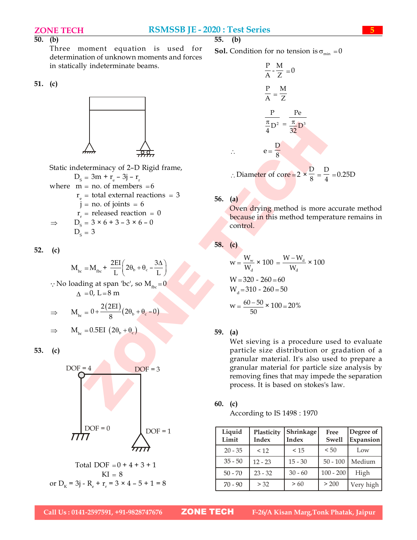### $\overline{50}$ . (b)

Three moment equation is used for determination of unknown moments and forces in statically indeterminate beams.

### 51. (c)



Static indeterminacy of 2–D Rigid frame,  $D_{\rm s} = 3m + r_{\rm e} - 3j - r_{\rm r}$ where  $m = no$ . of members  $= 6$  $r_e$  = total external reactions = 3  $j = no.$  of joints = 6  $r_r$  = released reaction = 0  $\Rightarrow$  D<sub>s</sub> = 3 × 6 + 3 - 3 × 6 - 0  $D_e = 3$ 

52. (c)

$$
M_{bc} = M_{abc} + \frac{2EI}{L} \left( 2\theta_b + \theta_c - \frac{3\Delta}{L} \right)
$$

 $\therefore$  No loading at span 'bc', so  $M_{\text{fbc}} = 0$  $\Lambda = 0$ , L = 8 m

$$
\Rightarrow \qquad M_{bc} = 0 + \frac{2(2EI)}{8}(2\theta_b + \theta_c - 0)
$$

$$
\Rightarrow \qquad M_{bc} = 0.5EI \left(2\theta_b + \theta_c\right) \tag{a}
$$

53. (c)



**Sol.** Condition for no tension is  $\sigma_{\min} = 0$ 

| RSMSSB JE - 2020 : Test Series                                                 | 55.                                 |
|--------------------------------------------------------------------------------|-------------------------------------|
| uation is used for <b>Sol</b> . Condition for no tension is $\sigma_{min} = 0$ |                                     |
| down moments and forces                                                        | $\frac{P}{A} \cdot \frac{M}{Z} = 0$ |
| $\frac{P}{A} = \frac{M}{Z}$                                                    |                                     |
| $\frac{P}{I} = \frac{P}{A}$                                                    |                                     |
| $\frac{P}{I} = \frac{P}{32}$                                                   |                                     |
| $\frac{P}{I} = \frac{P}{32}$                                                   |                                     |
| $\frac{P}{I} = \frac{P}{I}$                                                    |                                     |
| $\frac{P}{I} = \frac{P}{I}$                                                    |                                     |
| $\frac{P}{I} = \frac{P}{I}$                                                    |                                     |
| $\frac{P}{I} = \frac{P}{I}$                                                    |                                     |
| $\frac{P}{I} = \frac{P}{I}$                                                    |                                     |
| $\frac{P}{I} = \frac{P}{I}$                                                    |                                     |
| $\frac{P}{I} = \frac{P}{I}$                                                    |                                     |
| $\frac{P}{I} = \frac{P}{I}$                                                    |                                     |
| $\frac{P}{I} = \frac{P}{I}$                                                    |                                     |
| $\frac{P}{I} = \frac{P}{I}$                                                    |                                     |
| $\frac{P}{I} = \frac{P}{I}$                                                    |                                     |
| $\frac{P}{I} = \frac{P}{I}$                                                    |                                     |
| $\frac{P}{I} = \frac{P}{I}$                                                    |                                     |
| $\frac{P}{I} = \frac{P}{I}$                                                    |                                     |
| $\frac{P}{I} = \frac{P}{I}$                                                    |                                     |
| $\frac{P}{I} = \frac{P}{I}$                                                    |                                     |
| $\frac{P}{I} = \frac{P}{I}$                                                    |                                     |
| $\$                                                                            |                                     |

 $\therefore$  Diameter of core = 2  $\times$ 8  $=$ 4  $=0.25D$ 

56. (a)

e

Oven drying method is more accurate method because in this method temperature remains in control.

58. (c)

$$
w = \frac{W_w}{W_d} \times 100 = \frac{W - W_d}{W_d} \times 100
$$
  
W = 320 - 260 = 60  
W<sub>d</sub> = 310 - 260 = 50  

$$
w = \frac{60 - 50}{50} \times 100 = 20\%
$$

### 59. (a)

ZONE TECH  $DOF = 4$  DOF = 3 granular material for particle size analysis by Wet sieving is a procedure used to evaluate particle size distribution or gradation of a granular material. It's also used to prepare a removing fines that may impede the separation process. It is based on stokes's law.

60. (c)

According to IS 1498 : 1970

| Liquid<br>Limit | Plasticity<br>Index | Shrinkage<br>Index | Free<br><b>Swell</b> | Degree of<br>Expansion |
|-----------------|---------------------|--------------------|----------------------|------------------------|
| $20 - 35$       | < 12                | < 15               | < 50                 | Low                    |
| $35 - 50$       | $12 - 23$           | $15 - 30$          | $50 - 100$           | Medium                 |
| $50 - 70$       | $23 - 32$           | $30 - 60$          | $100 - 200$          | High                   |
| $70 - 90$       | > 32                | > 60               | > 200                | Very high              |

or D<sub>K</sub> = 3j - R<sub>e</sub> + r<sub>r</sub> = 3 × 4 – 5 + 1 = 8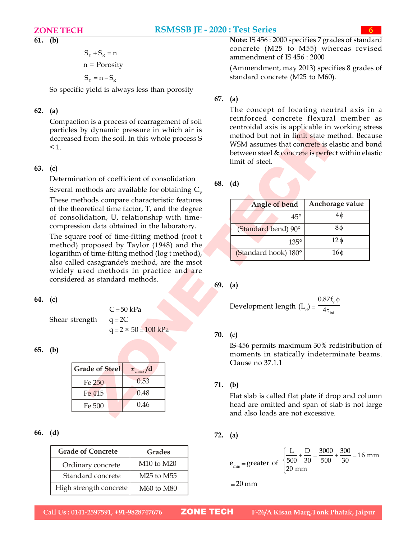### 61. (b)

$$
S_{\scriptscriptstyle Y}^{}+S_{\scriptscriptstyle R}^{}=n
$$

$$
n = \text{Porosity}
$$

 $S_v = n - S_R$ 

So specific yield is always less than porosity

### 62. (a)

Compaction is a process of rearragement of soil particles by dynamic pressure in which air is decreased from the soil. In this whole process S  $\leq 1$ .

### 63. (c)

Determination of coefficient of consolidation

Several methods are available for obtaining  $C_{\nu}$ These methods compare characteristic features of the theoretical time factor, T, and the degree of consolidation, U, relationship with timecompression data obtained in the laboratory.

The square roof of time-fitting method (root t method) proposed by Taylor (1948) and the logarithm of time-fitting method (log t method), also called casagrande's method, are the msot widely used methods in practice and are considered as standard methods.

### 64. (c)

Shear strength  $q = 2C$ 

65. (b)

|                       |                       |         | Clause no $37.1.1$  |
|-----------------------|-----------------------|---------|---------------------|
| <b>Grade of Steel</b> | $x_{\text{u max}}$ /d |         |                     |
| Fe 250                | 0.53                  | 71. (b) |                     |
| Fe 415                | 0.48                  |         | Flat slab is called |
| Fe 500                | 0.46                  |         | head are omitted    |
|                       |                       |         | and also loads ai   |

### 66. (d)

| <b>Grade of Concrete</b> | Grades                             |                         |
|--------------------------|------------------------------------|-------------------------|
| Ordinary concrete        | M <sub>10</sub> to M <sub>20</sub> | $e_{\min}$ = greater of |
| Standard concrete        | M25 to M55                         |                         |
| High strength concrete   | <b>M60</b> to M80                  | $=20$ mm                |

Note: IS 456 : 2000 specifies 7 grades of standard concrete (M25 to M55) whereas revised ammendment of IS 456 : 2000

(Ammendment, may 2013) specifies 8 grades of standard concrete (M25 to M60).

## 67. (a)

The concept of locating neutral axis in a reinforced concrete flexural member as centroidal axis is applicable in working stress method but not in limit state method. Because WSM assumes that concrete is elastic and bond between steel & concrete is perfect within elastic limit of steel.

| y dynamic pressure in which air is<br>from the soil. In this whole process S      |     | method but not in limit state method. Because<br>WSM assumes that concrete is elastic and bond<br>between steel & concrete is perfect within elastic<br>limit of steel. | $\mu$ order and to applicable in working stress |
|-----------------------------------------------------------------------------------|-----|-------------------------------------------------------------------------------------------------------------------------------------------------------------------------|-------------------------------------------------|
| tion of coefficient of consolidation<br>thods are available for obtaining $C_{v}$ |     | 68. $(d)$                                                                                                                                                               |                                                 |
| nods compare characteristic features<br>retical time factor, T, and the degree    |     | Angle of bend                                                                                                                                                           | Anchorage value                                 |
| dation, U, relationship with time-                                                |     | $45^{\circ}$                                                                                                                                                            | $4\phi$                                         |
| on data obtained in the laboratory.<br>e roof of time-fitting method (root t      |     | (Standard bend) 90°                                                                                                                                                     | $8\phi$                                         |
| roposed by Taylor (1948) and the                                                  |     | $135^\circ$                                                                                                                                                             | $12\phi$                                        |
| of time-fitting method (log t method),<br>casagrande's method, are the msot       |     | (Standard hook) 180°                                                                                                                                                    | $16\phi$                                        |
| ed methods in practice and are<br>as standard methods.                            | 69. | (a)<br>Development length $(L_d) = \frac{0.87f_y \phi}{4\tau_{tot}}$                                                                                                    |                                                 |
| $C = 50$ kPa<br>$q = 2C$<br>ıgth                                                  |     |                                                                                                                                                                         |                                                 |
| $q = 2 \times 50 = 100$ kPa                                                       |     | 70. (c)                                                                                                                                                                 |                                                 |
|                                                                                   |     | IS-456 permits maximum 30% redistribution of<br>moments in statically indeterminate beams.<br>Clause no 37.1.1                                                          |                                                 |
| de of Steel<br>$x_{\text{u max}}/d$                                               |     |                                                                                                                                                                         |                                                 |
| 0.53<br>Fe 250                                                                    |     | 71. (b)                                                                                                                                                                 |                                                 |
| 0.48<br>Fe 415<br>0.46<br>Fe 500                                                  |     | Flat slab is called flat plate if drop and column<br>head are omitted and span of slab is not large                                                                     |                                                 |
|                                                                                   |     | and also loads are not excessive.                                                                                                                                       |                                                 |

Development length 
$$
(L_d) = \frac{0.87f_y \phi}{4\tau_{bd}}
$$

### 70. (c)

### 72. (a)

Grades  
\n
$$
e_{\min} = \text{greater of } \begin{cases} \frac{L}{500} + \frac{D}{30} = \frac{3000}{500} + \frac{300}{30} = 16 \text{ mm} \\ 20 \text{ mm} \end{cases}
$$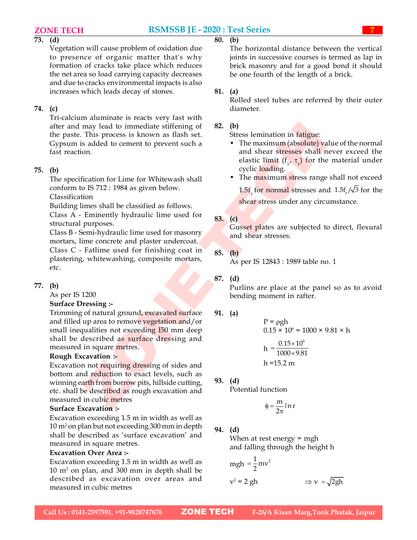### 73. (d)

Vegetation will cause problem of oxidation due to presence of organic matter that's why formation of cracks take place which reduces the net area so load carrying capacity decreases and due to cracks environmental impacts is also increases which leads decay of stones.

### 74. (c)

Tri-calcium aluminate is reacts very fast with after and may lead to immediate stiffening of the paste. This process is known as flash set. Gypsum is added to cement to prevent such a fast reaction.

### 75. (b)

The specification for Lime for Whitewash shall conform to IS 712 : 1984 as given below.

Classification

Building limes shall be classified as follows.

Class A - Eminently hydraulic lime used for structural purposes.

Class B - Semi-hydraulic lime used for masonry mortars, lime concrete and plaster undercoat. Class C - Fatlime used for finishing coat in plastering, whitewashing, composite mortars,

# 77. (b)

etc.

As per IS 1200

### Surface Dressing :-

may lead to immediate stiffering of<br>
a comparison of the state in the parameter of the numerial state of the comparison<br>
This process is known as flash set.<br>
and shear a stresses shall never exceed the<br>
comparison of Line Trimming of natural ground, excavated surface and filled up area to remove vegetation and/or small inequalities not exceeding I50 mm deep shall be described as surface dressing and measured in square metres.

### Rough Excavation :-

Excavation not requiring dressing of sides and bottom and reduction to exact levels, such as winning earth from borrow pits, hillside cutting, etc. shall be described as rough excavation and measured in cubic metres

### Surface Excavation :-

Excavation exceeding 1.5 m in width as well as 10 m<sup>2</sup> on plan but not exceeding 300 mm in depth shall be described as 'surface excavation' and measured in square metres.

### Excavation Over Area :-

Excavation exceeding 1.5 m in width as well as 10 m<sup>2</sup> on plan, and 300 mm in depth shall be described as excavation over areas and measured in cubic metres

The horizontal distance between the vertical joints in successive courses is termed as lap in brick masonry and for a good bond it should be one fourth of the length of a brick.

### 81. (a)

Rolled steel tubes are referred by their outer diameter.

### 82. (b)

Stress lemination in fatigue:

- The maximum (absolute) value of the normal and shear stresses shall never exceed the elastic limit  $(f_y, \tau_y)$  for the material under cyclic loading.
- The maximum stress range shall not exceed

1.5f<sub>y</sub> for normal stresses and  $1.5f_y/\sqrt{3}$  for the shear stress under any circumstance.

### 83. (c)

Gusset plates are subjected to direct, flexural and shear stresses.

85. (b)

As per IS 12843 : 1989 table no. 1

### 87. (d)

Purlins are place at the panel so as to avoid bending moment in rafter.

### 91. (a)

P = pgh  
0.15 × 10<sup>6</sup> = 1000 × 9.81 × h  
h = 
$$
\frac{0.15 \times 10^6}{1000 \times 9.81}
$$
h = 15.2 m

### 93. (d)

Potential function

$$
\phi = \frac{m}{2\pi} l \, n \, r
$$

### 94. (d)

When at rest energy = mgh and falling through the height h

$$
mgh = \frac{1}{2}mv^2
$$
  

$$
v^2 = 2 gh \implies v = \sqrt{2gh}
$$